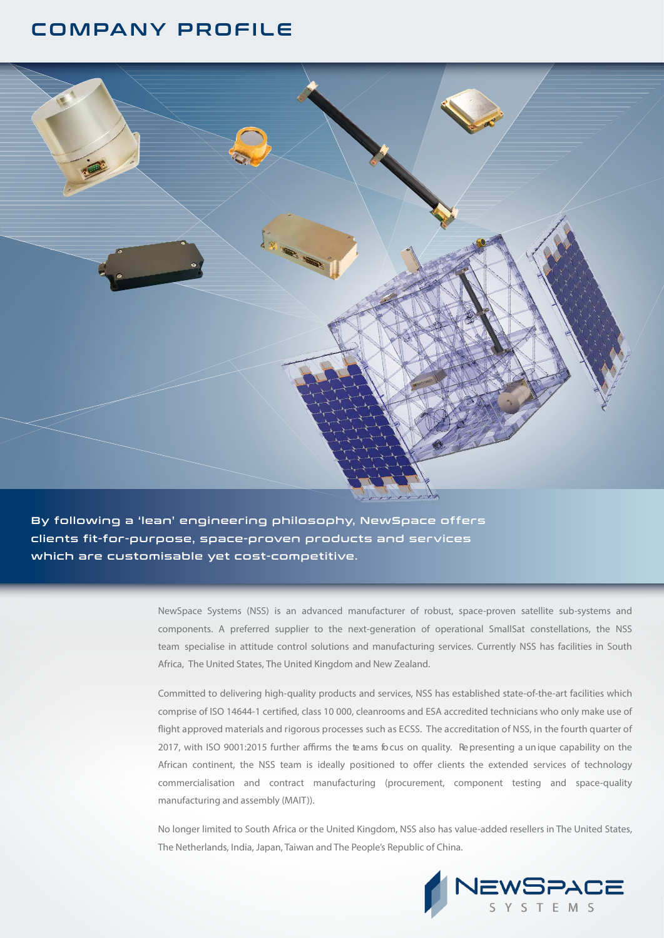## COMPANY PROFILE



By following a 'lean' engineering philosophy, NewSpace offers clients fit-for-purpose, space-proven products and services which are customisable yet cost-competitive.

> NewSpace Systems (NSS) is an advanced manufacturer of robust, space-proven satellite sub-systems and components. A preferred supplier to the next-generation of operational SmallSat constellations, the NSS team specialise in attitude control solutions and manufacturing services. Currently NSS has facilities in South Africa, The United States, The United Kingdom and New Zealand.

> Committed to delivering high-quality products and services, NSS has established state-of-the-art facilities which comprise of ISO 14644-1 certied, class 10 000, cleanrooms and ESA accredited technicians who only make use of flight approved materials and rigorous processes such as ECSS. The accreditation of NSS, in the fourth quarter of 2017, with ISO 9001:2015 further affirms the teams focus on quality. Representing a unique capability on the African continent, the NSS team is ideally positioned to offer clients the extended services of technology commercialisation and contract manufacturing (procurement, component testing and space-quality manufacturing and assembly (MAIT)).

> No longer limited to South Africa or the United Kingdom, NSS also has value-added resellers in The United States, The Netherlands, India, Japan, Taiwan and The People's Republic of China.